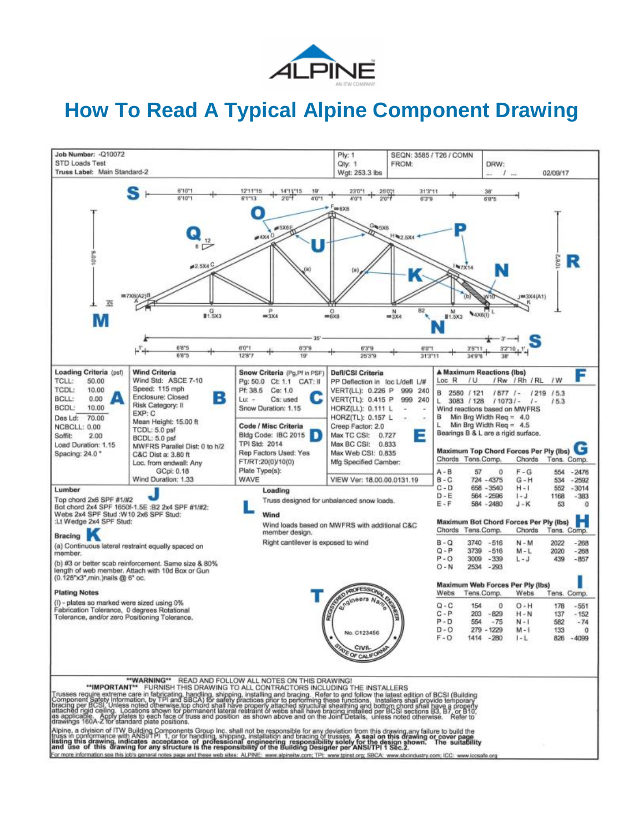

# **How To Read A Typical Alpine Component Drawing**

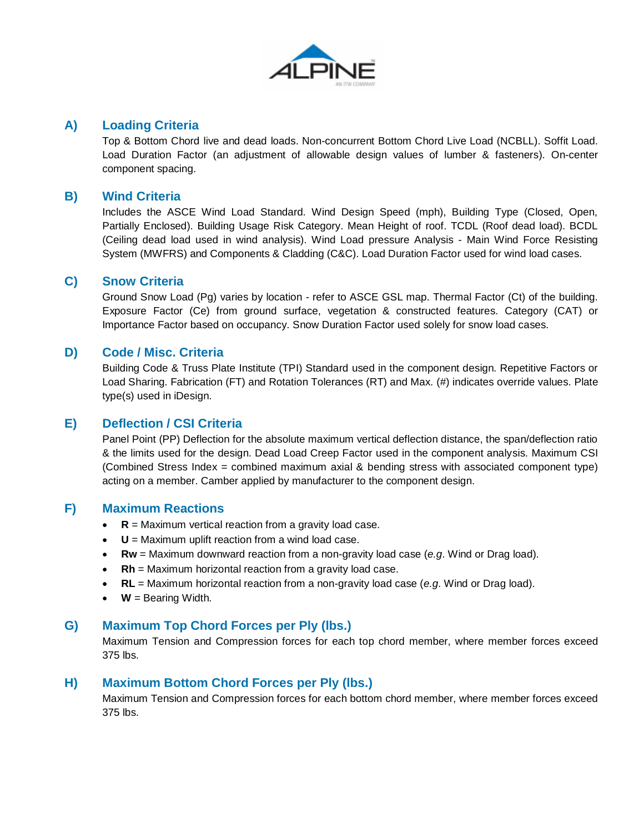

## **A) Loading Criteria**

Top & Bottom Chord live and dead loads. Non-concurrent Bottom Chord Live Load (NCBLL). Soffit Load. Load Duration Factor (an adjustment of allowable design values of lumber & fasteners). On-center component spacing.

## **B) Wind Criteria**

Includes the ASCE Wind Load Standard. Wind Design Speed (mph), Building Type (Closed, Open, Partially Enclosed). Building Usage Risk Category. Mean Height of roof. TCDL (Roof dead load). BCDL (Ceiling dead load used in wind analysis). Wind Load pressure Analysis - Main Wind Force Resisting System (MWFRS) and Components & Cladding (C&C). Load Duration Factor used for wind load cases.

## **C) Snow Criteria**

Ground Snow Load (Pg) varies by location - refer to ASCE GSL map. Thermal Factor (Ct) of the building. Exposure Factor (Ce) from ground surface, vegetation & constructed features. Category (CAT) or Importance Factor based on occupancy. Snow Duration Factor used solely for snow load cases.

## **D) Code / Misc. Criteria**

Building Code & Truss Plate Institute (TPI) Standard used in the component design. Repetitive Factors or Load Sharing. Fabrication (FT) and Rotation Tolerances (RT) and Max. (#) indicates override values. Plate type(s) used in iDesign.

# **E) Deflection / CSI Criteria**

Panel Point (PP) Deflection for the absolute maximum vertical deflection distance, the span/deflection ratio & the limits used for the design. Dead Load Creep Factor used in the component analysis. Maximum CSI (Combined Stress Index = combined maximum axial & bending stress with associated component type) acting on a member. Camber applied by manufacturer to the component design.

## **F) Maximum Reactions**

- $R =$  Maximum vertical reaction from a gravity load case.
- **U** = Maximum uplift reaction from a wind load case.
- **Rw** = Maximum downward reaction from a non-gravity load case (*e.g*. Wind or Drag load).
- **Rh** = Maximum horizontal reaction from a gravity load case.
- **RL** = Maximum horizontal reaction from a non-gravity load case (*e.g*. Wind or Drag load).
- $\bullet$   $\bullet$  **W** = Bearing Width.

## **G) Maximum Top Chord Forces per Ply (lbs.)**

Maximum Tension and Compression forces for each top chord member, where member forces exceed 375 lbs.

## **H) Maximum Bottom Chord Forces per Ply (lbs.)**

Maximum Tension and Compression forces for each bottom chord member, where member forces exceed 375 lbs.